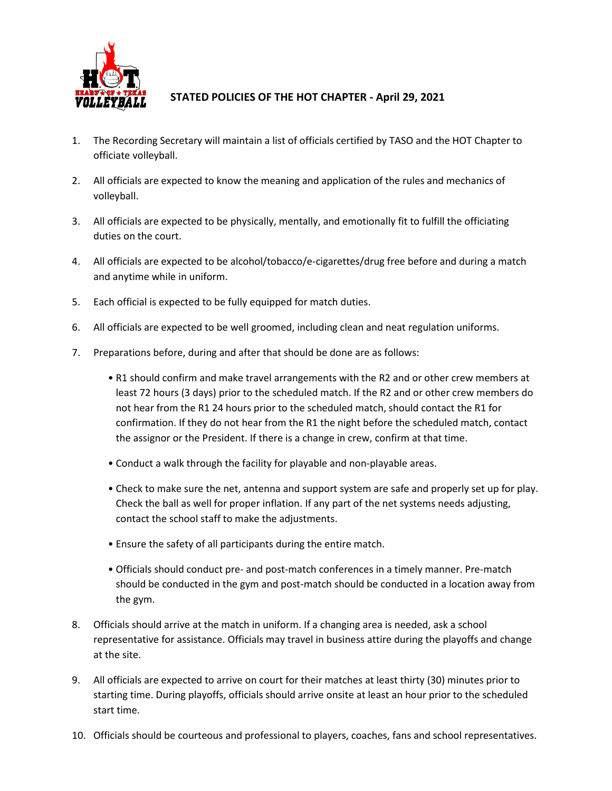

## **STATED POLICIES OF THE HOT CHAPTER - April 29, 2021**

- 1. The Recording Secretary will maintain a list of officials certified by TASO and the HOT Chapter to officiate volleyball.
- 2. All officials are expected to know the meaning and application of the rules and mechanics of volleyball.
- 3. All officials are expected to be physically, mentally, and emotionally fit to fulfill the officiating duties on the court.
- 4. All officials are expected to be alcohol/tobacco/e-cigarettes/drug free before and during a match and anytime while in uniform.
- 5. Each official is expected to be fully equipped for match duties.
- 6. All officials are expected to be well groomed, including clean and neat regulation uniforms.
- 7. Preparations before, during and after that should be done are as follows:
	- R1 should confirm and make travel arrangements with the R2 and or other crew members at least 72 hours (3 days) prior to the scheduled match. If the R2 and or other crew members do not hear from the R1 24 hours prior to the scheduled match, should contact the R1 for confirmation. If they do not hear from the R1 the night before the scheduled match, contact the assignor or the President. If there is a change in crew, confirm at that time.
	- Conduct a walk through the facility for playable and non-playable areas.
	- Check to make sure the net, antenna and support system are safe and properly set up for play. Check the ball as well for proper inflation. If any part of the net systems needs adjusting, contact the school staff to make the adjustments.
	- Ensure the safety of all participants during the entire match.
	- Officials should conduct pre- and post-match conferences in a timely manner. Pre-match should be conducted in the gym and post-match should be conducted in a location away from the gym.
- 8. Officials should arrive at the match in uniform. If a changing area is needed, ask a school representative for assistance. Officials may travel in business attire during the playoffs and change at the site.
- 9. All officials are expected to arrive on court for their matches at least thirty (30) minutes prior to starting time. During playoffs, officials should arrive onsite at least an hour prior to the scheduled start time.
- 10. Officials should be courteous and professional to players, coaches, fans and school representatives.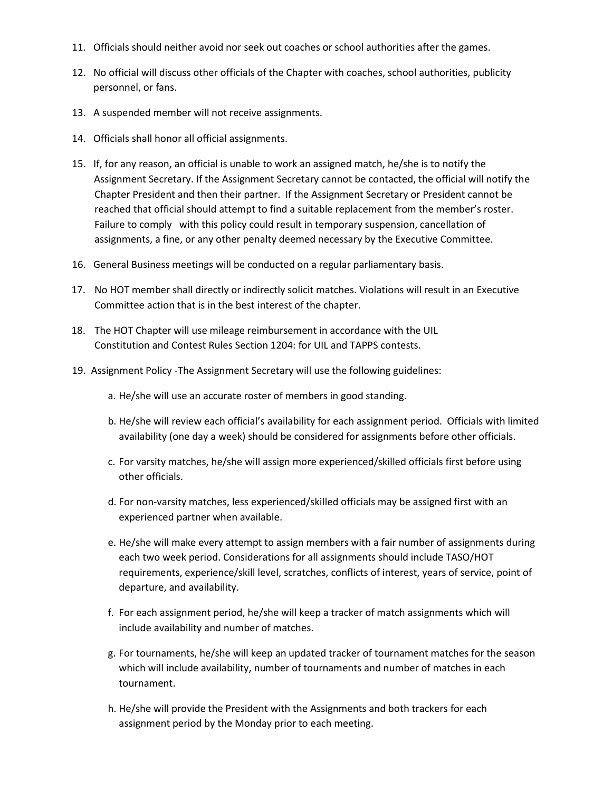- 11. Officials should neither avoid nor seek out coaches or school authorities after the games.
- 12. No official will discuss other officials of the Chapter with coaches, school authorities, publicity personnel, or fans.
- 13. A suspended member will not receive assignments.
- 14. Officials shall honor all official assignments.
- 15. If, for any reason, an official is unable to work an assigned match, he/she is to notify the Assignment Secretary. If the Assignment Secretary cannot be contacted, the official will notify the Chapter President and then their partner. If the Assignment Secretary or President cannot be reached that official should attempt to find a suitable replacement from the member's roster. Failure to comply with this policy could result in temporary suspension, cancellation of assignments, a fine, or any other penalty deemed necessary by the Executive Committee.
- 16. General Business meetings will be conducted on a regular parliamentary basis.
- 17. No HOT member shall directly or indirectly solicit matches. Violations will result in an Executive Committee action that is in the best interest of the chapter.
- 18. The HOT Chapter will use mileage reimbursement in accordance with the UIL Constitution and Contest Rules Section 1204: for UIL and TAPPS contests.
- 19. Assignment Policy -The Assignment Secretary will use the following guidelines:
	- a. He/she will use an accurate roster of members in good standing.
	- b. He/she will review each official's availability for each assignment period. Officials with limited availability (one day a week) should be considered for assignments before other officials.
	- c. For varsity matches, he/she will assign more experienced/skilled officials first before using other officials.
	- d. For non-varsity matches, less experienced/skilled officials may be assigned first with an experienced partner when available.
	- e. He/she will make every attempt to assign members with a fair number of assignments during each two week period. Considerations for all assignments should include TASO/HOT requirements, experience/skill level, scratches, conflicts of interest, years of service, point of departure, and availability.
	- f. For each assignment period, he/she will keep a tracker of match assignments which will include availability and number of matches.
	- g. For tournaments, he/she will keep an updated tracker of tournament matches for the season which will include availability, number of tournaments and number of matches in each tournament.
	- h. He/she will provide the President with the Assignments and both trackers for each assignment period by the Monday prior to each meeting.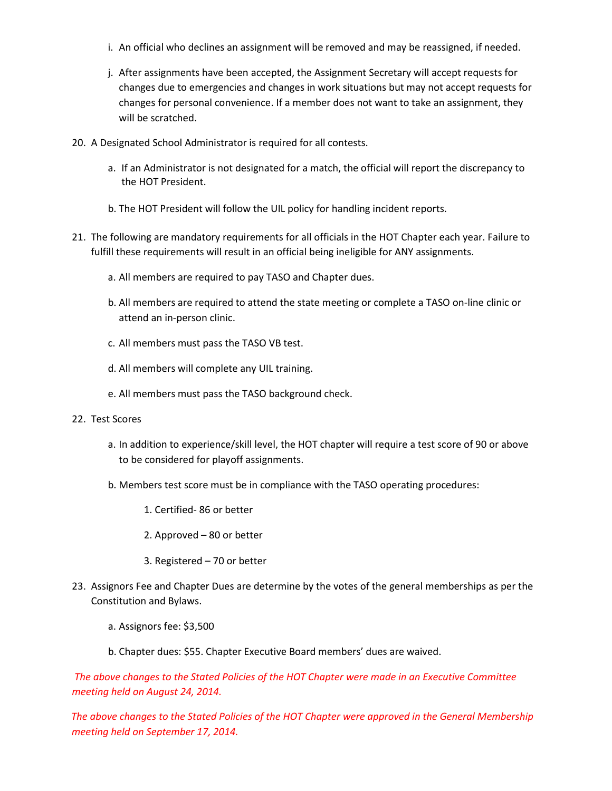- i. An official who declines an assignment will be removed and may be reassigned, if needed.
- j. After assignments have been accepted, the Assignment Secretary will accept requests for changes due to emergencies and changes in work situations but may not accept requests for changes for personal convenience. If a member does not want to take an assignment, they will be scratched.
- 20. A Designated School Administrator is required for all contests.
	- a. If an Administrator is not designated for a match, the official will report the discrepancy to the HOT President.
	- b. The HOT President will follow the UIL policy for handling incident reports.
- 21. The following are mandatory requirements for all officials in the HOT Chapter each year. Failure to fulfill these requirements will result in an official being ineligible for ANY assignments.
	- a. All members are required to pay TASO and Chapter dues.
	- b. All members are required to attend the state meeting or complete a TASO on-line clinic or attend an in-person clinic.
	- c. All members must pass the TASO VB test.
	- d. All members will complete any UIL training.
	- e. All members must pass the TASO background check.
- 22. Test Scores
	- a. In addition to experience/skill level, the HOT chapter will require a test score of 90 or above to be considered for playoff assignments.
	- b. Members test score must be in compliance with the TASO operating procedures:
		- 1. Certified- 86 or better
		- 2. Approved 80 or better
		- 3. Registered 70 or better
- 23. Assignors Fee and Chapter Dues are determine by the votes of the general memberships as per the Constitution and Bylaws.
	- a. Assignors fee: \$3,500
	- b. Chapter dues: \$55. Chapter Executive Board members' dues are waived.

*The above changes to the Stated Policies of the HOT Chapter were made in an Executive Committee meeting held on August 24, 2014.* 

*The above changes to the Stated Policies of the HOT Chapter were approved in the General Membership meeting held on September 17, 2014.*